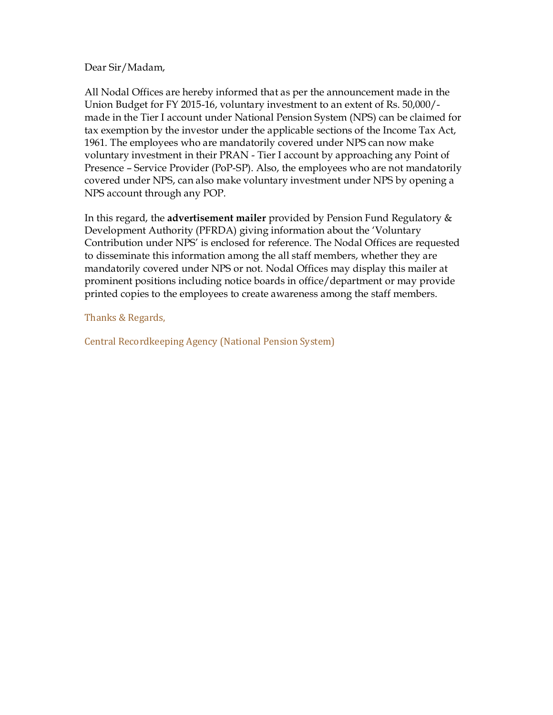## Dear Sir/Madam,

All Nodal Offices are hereby informed that as per the announcement made in the Union Budget for FY 2015-16, voluntary investment to an extent of Rs. 50,000/ made in the Tier I account under National Pension System (NPS) can be claimed for tax exemption by the investor under the applicable sections of the Income Tax Act, 1961. The employees who are mandatorily covered under NPS can now make voluntary investment in their PRAN - Tier I account by approaching any Point of Presence – Service Provider (PoP-SP). Also, the employees who are not mandatorily covered under NPS, can also make voluntary investment under NPS by opening a NPS account through any POP.

In this regard, the **advertisement mailer** provided by Pension Fund Regulatory & Development Authority (PFRDA) giving information about the 'Voluntary Contribution under NPS' is enclosed for reference. The Nodal Offices are requested to disseminate this information among the all staff members, whether they are mandatorily covered under NPS or not. Nodal Offices may display this mailer at prominent positions including notice boards in office/department or may provide printed copies to the employees to create awareness among the staff members.

Thanks & Regards,

Central Recordkeeping Agency (National Pension System)